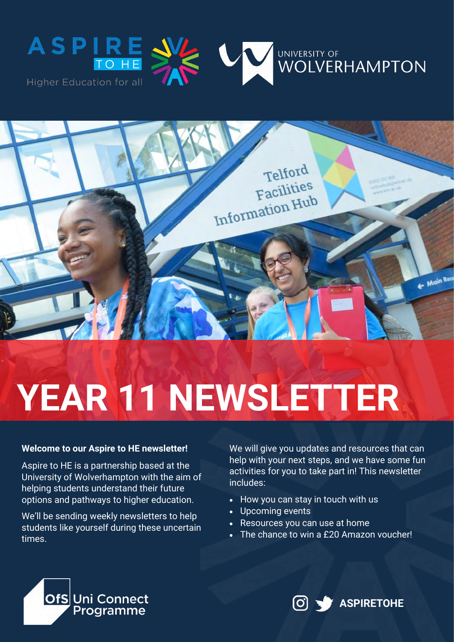





# **YEAR 11 NEWSLETTER**

#### **Welcome to our Aspire to HE newsletter!**

Aspire to HE is a partnership based at the University of Wolverhampton with the aim of helping students understand their future options and pathways to higher education.

We'll be sending weekly newsletters to help students like yourself during these uncertain times.

We will give you updates and resources that can help with your next steps, and we have some fun activities for you to take part in! This newsletter includes:

- How you can stay in touch with us
- Upcoming events
- Resources you can use at home
- The chance to win a £20 Amazon voucher!



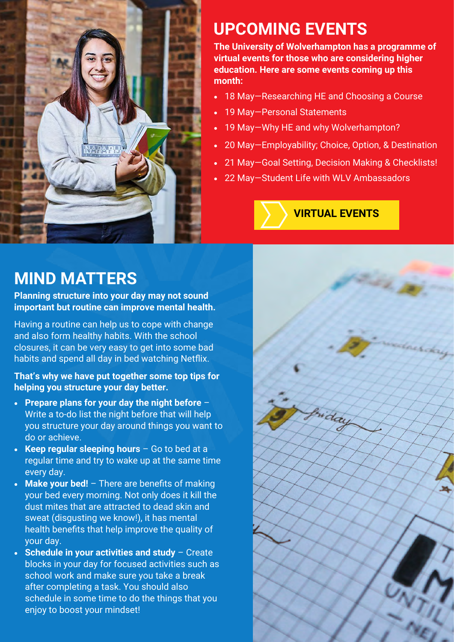

# **UPCOMING EVENTS**

**The University of Wolverhampton has a programme of virtual events for those who are considering higher education. Here are some events coming up this month:**

- 18 May—Researching HE and Choosing a Course
- 19 May—Personal Statements
- 19 May—Why HE and why Wolverhampton?
- 20 May—Employability; Choice, Option, & Destination
- 21 May—Goal Setting, Decision Making & Checklists!
- 22 May—Student Life with WLV Ambassadors

### **[VIRTUAL EVENTS](https://bit.ly/2WDDdxp)**

## **MIND MATTERS**

**Planning structure into your day may not sound important but routine can improve mental health.** 

Having a routine can help us to cope with change and also form healthy habits. With the school closures, it can be very easy to get into some bad habits and spend all day in bed watching Netflix.

#### **That's why we have put together some top tips for helping you structure your day better.**

- **Prepare plans for your day the night before**  Write a to-do list the night before that will help you structure your day around things you want to do or achieve.
- **Keep regular sleeping hours**  Go to bed at a regular time and try to wake up at the same time every day.
- **Make your bed!**  There are benefits of making your bed every morning. Not only does it kill the dust mites that are attracted to dead skin and sweat (disgusting we know!), it has mental health benefits that help improve the quality of your day.
- **Schedule in your activities and study**  Create blocks in your day for focused activities such as school work and make sure you take a break after completing a task. You should also schedule in some time to do the things that you enjoy to boost your mindset!

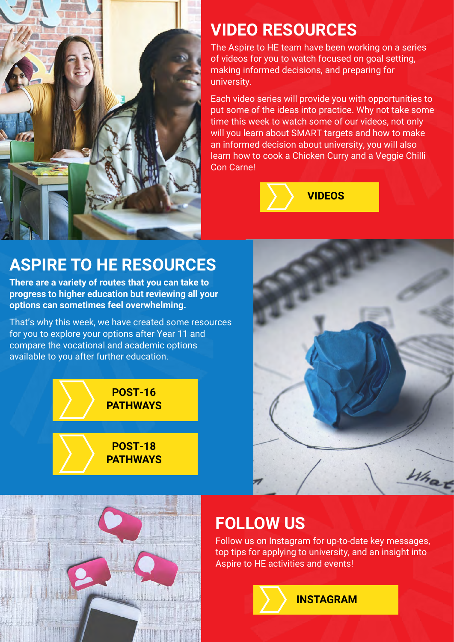

# **VIDEO RESOURCES**

The Aspire to HE team have been working on a series of videos for you to watch focused on goal setting, making informed decisions, and preparing for university.

Each video series will provide you with opportunities to put some of the ideas into practice. Why not take some time this week to watch some of our videos, not only will you learn about SMART targets and how to make an informed decision about university, you will also learn how to cook a Chicken Curry and a Veggie Chilli Con Carne!



## **ASPIRE TO HE RESOURCES**

**There are a variety of routes that you can take to progress to higher education but reviewing all your options can sometimes feel overwhelming.** 

That's why this week, we have created some resources for you to explore your options after Year 11 and compare the vocational and academic options available to you after further education.

> **POST-16 [PATHWAYS](https://bit.ly/2WqWJhM)**

**POST-18 [PATHWAYS](https://bit.ly/35TvGyL)**



#### **FOLLOW US**

Follow us on Instagram for up-to-date key messages, top tips for applying to university, and an insight into Aspire to HE activities and events!